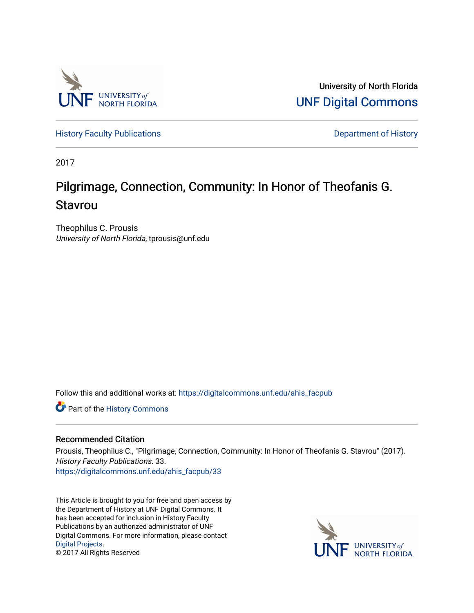

University of North Florida [UNF Digital Commons](https://digitalcommons.unf.edu/) 

[History Faculty Publications](https://digitalcommons.unf.edu/ahis_facpub) **Department of History** 

2017

## Pilgrimage, Connection, Community: In Honor of Theofanis G. Stavrou

Theophilus C. Prousis University of North Florida, tprousis@unf.edu

Follow this and additional works at: [https://digitalcommons.unf.edu/ahis\\_facpub](https://digitalcommons.unf.edu/ahis_facpub?utm_source=digitalcommons.unf.edu%2Fahis_facpub%2F33&utm_medium=PDF&utm_campaign=PDFCoverPages) 

Part of the [History Commons](http://network.bepress.com/hgg/discipline/489?utm_source=digitalcommons.unf.edu%2Fahis_facpub%2F33&utm_medium=PDF&utm_campaign=PDFCoverPages) 

## Recommended Citation

Prousis, Theophilus C., "Pilgrimage, Connection, Community: In Honor of Theofanis G. Stavrou" (2017). History Faculty Publications. 33. [https://digitalcommons.unf.edu/ahis\\_facpub/33](https://digitalcommons.unf.edu/ahis_facpub/33?utm_source=digitalcommons.unf.edu%2Fahis_facpub%2F33&utm_medium=PDF&utm_campaign=PDFCoverPages) 

This Article is brought to you for free and open access by the Department of History at UNF Digital Commons. It has been accepted for inclusion in History Faculty Publications by an authorized administrator of UNF Digital Commons. For more information, please contact [Digital Projects.](mailto:lib-digital@unf.edu) © 2017 All Rights Reserved

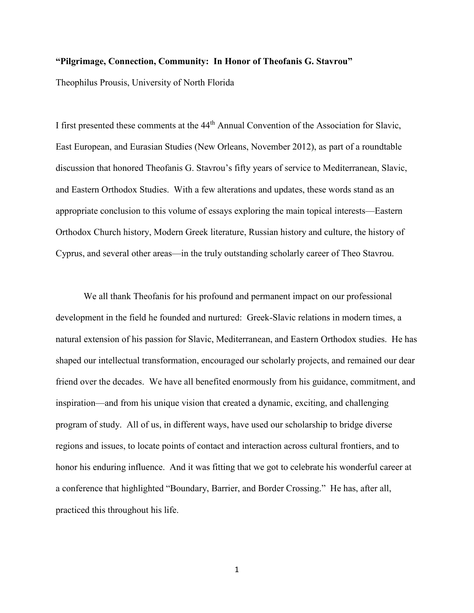## **"Pilgrimage, Connection, Community: In Honor of Theofanis G. Stavrou"**

Theophilus Prousis, University of North Florida

I first presented these comments at the 44<sup>th</sup> Annual Convention of the Association for Slavic, East European, and Eurasian Studies (New Orleans, November 2012), as part of a roundtable discussion that honored Theofanis G. Stavrou's fifty years of service to Mediterranean, Slavic, and Eastern Orthodox Studies. With a few alterations and updates, these words stand as an appropriate conclusion to this volume of essays exploring the main topical interests—Eastern Orthodox Church history, Modern Greek literature, Russian history and culture, the history of Cyprus, and several other areas—in the truly outstanding scholarly career of Theo Stavrou.

We all thank Theofanis for his profound and permanent impact on our professional development in the field he founded and nurtured: Greek-Slavic relations in modern times, a natural extension of his passion for Slavic, Mediterranean, and Eastern Orthodox studies. He has shaped our intellectual transformation, encouraged our scholarly projects, and remained our dear friend over the decades. We have all benefited enormously from his guidance, commitment, and inspiration—and from his unique vision that created a dynamic, exciting, and challenging program of study. All of us, in different ways, have used our scholarship to bridge diverse regions and issues, to locate points of contact and interaction across cultural frontiers, and to honor his enduring influence. And it was fitting that we got to celebrate his wonderful career at a conference that highlighted "Boundary, Barrier, and Border Crossing." He has, after all, practiced this throughout his life.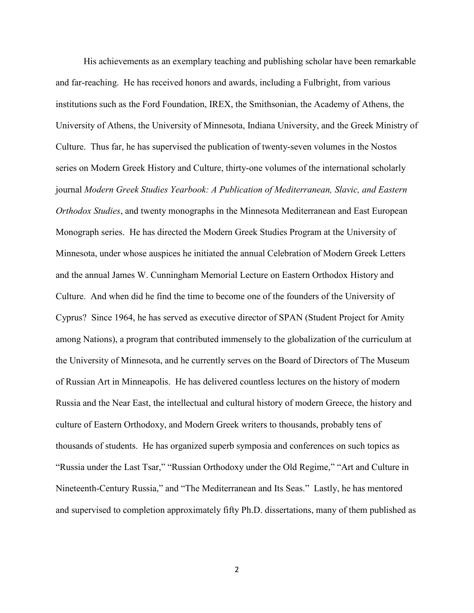His achievements as an exemplary teaching and publishing scholar have been remarkable and far-reaching. He has received honors and awards, including a Fulbright, from various institutions such as the Ford Foundation, IREX, the Smithsonian, the Academy of Athens, the University of Athens, the University of Minnesota, Indiana University, and the Greek Ministry of Culture. Thus far, he has supervised the publication of twenty-seven volumes in the Nostos series on Modern Greek History and Culture, thirty-one volumes of the international scholarly journal *Modern Greek Studies Yearbook: A Publication of Mediterranean, Slavic, and Eastern Orthodox Studies*, and twenty monographs in the Minnesota Mediterranean and East European Monograph series. He has directed the Modern Greek Studies Program at the University of Minnesota, under whose auspices he initiated the annual Celebration of Modern Greek Letters and the annual James W. Cunningham Memorial Lecture on Eastern Orthodox History and Culture. And when did he find the time to become one of the founders of the University of Cyprus? Since 1964, he has served as executive director of SPAN (Student Project for Amity among Nations), a program that contributed immensely to the globalization of the curriculum at the University of Minnesota, and he currently serves on the Board of Directors of The Museum of Russian Art in Minneapolis. He has delivered countless lectures on the history of modern Russia and the Near East, the intellectual and cultural history of modern Greece, the history and culture of Eastern Orthodoxy, and Modern Greek writers to thousands, probably tens of thousands of students. He has organized superb symposia and conferences on such topics as "Russia under the Last Tsar," "Russian Orthodoxy under the Old Regime," "Art and Culture in Nineteenth-Century Russia," and "The Mediterranean and Its Seas." Lastly, he has mentored and supervised to completion approximately fifty Ph.D. dissertations, many of them published as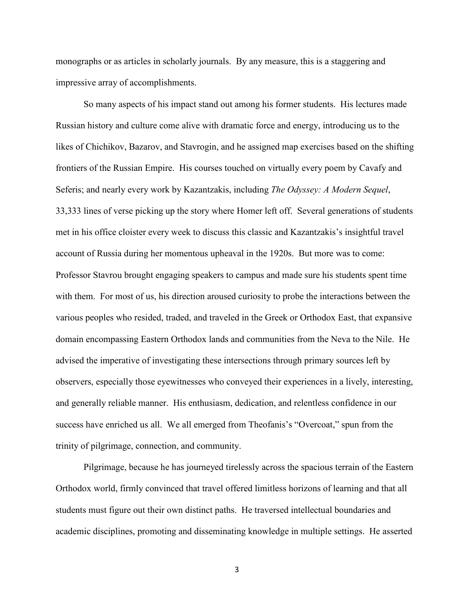monographs or as articles in scholarly journals. By any measure, this is a staggering and impressive array of accomplishments.

So many aspects of his impact stand out among his former students. His lectures made Russian history and culture come alive with dramatic force and energy, introducing us to the likes of Chichikov, Bazarov, and Stavrogin, and he assigned map exercises based on the shifting frontiers of the Russian Empire. His courses touched on virtually every poem by Cavafy and Seferis; and nearly every work by Kazantzakis, including *The Odyssey: A Modern Sequel*, 33,333 lines of verse picking up the story where Homer left off. Several generations of students met in his office cloister every week to discuss this classic and Kazantzakis's insightful travel account of Russia during her momentous upheaval in the 1920s. But more was to come: Professor Stavrou brought engaging speakers to campus and made sure his students spent time with them. For most of us, his direction aroused curiosity to probe the interactions between the various peoples who resided, traded, and traveled in the Greek or Orthodox East, that expansive domain encompassing Eastern Orthodox lands and communities from the Neva to the Nile. He advised the imperative of investigating these intersections through primary sources left by observers, especially those eyewitnesses who conveyed their experiences in a lively, interesting, and generally reliable manner. His enthusiasm, dedication, and relentless confidence in our success have enriched us all. We all emerged from Theofanis's "Overcoat," spun from the trinity of pilgrimage, connection, and community.

Pilgrimage, because he has journeyed tirelessly across the spacious terrain of the Eastern Orthodox world, firmly convinced that travel offered limitless horizons of learning and that all students must figure out their own distinct paths. He traversed intellectual boundaries and academic disciplines, promoting and disseminating knowledge in multiple settings. He asserted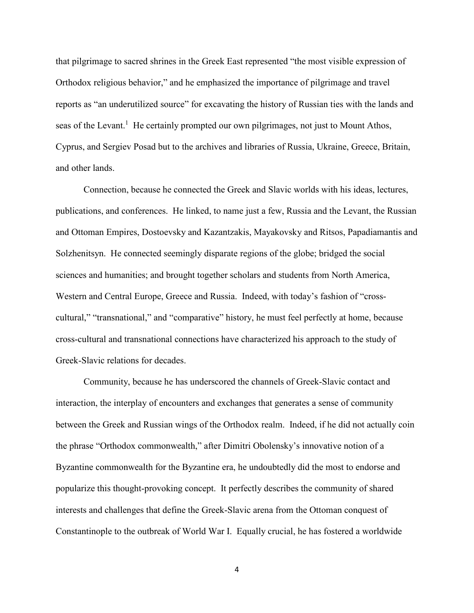that pilgrimage to sacred shrines in the Greek East represented "the most visible expression of Orthodox religious behavior," and he emphasized the importance of pilgrimage and travel reports as "an underutilized source" for excavating the history of Russian ties with the lands and seas of the Levant.<sup>1</sup> He certainly prompted our own pilgrimages, not just to Mount Athos, Cyprus, and Sergiev Posad but to the archives and libraries of Russia, Ukraine, Greece, Britain, and other lands.

Connection, because he connected the Greek and Slavic worlds with his ideas, lectures, publications, and conferences. He linked, to name just a few, Russia and the Levant, the Russian and Ottoman Empires, Dostoevsky and Kazantzakis, Mayakovsky and Ritsos, Papadiamantis and Solzhenitsyn. He connected seemingly disparate regions of the globe; bridged the social sciences and humanities; and brought together scholars and students from North America, Western and Central Europe, Greece and Russia. Indeed, with today's fashion of "crosscultural," "transnational," and "comparative" history, he must feel perfectly at home, because cross-cultural and transnational connections have characterized his approach to the study of Greek-Slavic relations for decades.

Community, because he has underscored the channels of Greek-Slavic contact and interaction, the interplay of encounters and exchanges that generates a sense of community between the Greek and Russian wings of the Orthodox realm. Indeed, if he did not actually coin the phrase "Orthodox commonwealth," after Dimitri Obolensky's innovative notion of a Byzantine commonwealth for the Byzantine era, he undoubtedly did the most to endorse and popularize this thought-provoking concept. It perfectly describes the community of shared interests and challenges that define the Greek-Slavic arena from the Ottoman conquest of Constantinople to the outbreak of World War I. Equally crucial, he has fostered a worldwide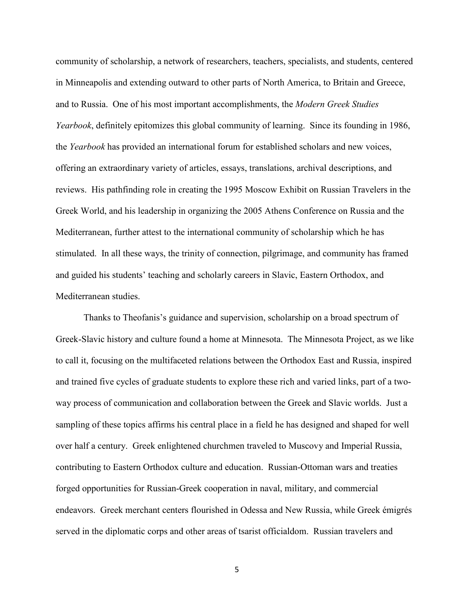community of scholarship, a network of researchers, teachers, specialists, and students, centered in Minneapolis and extending outward to other parts of North America, to Britain and Greece, and to Russia. One of his most important accomplishments, the *Modern Greek Studies Yearbook*, definitely epitomizes this global community of learning. Since its founding in 1986, the *Yearbook* has provided an international forum for established scholars and new voices, offering an extraordinary variety of articles, essays, translations, archival descriptions, and reviews. His pathfinding role in creating the 1995 Moscow Exhibit on Russian Travelers in the Greek World, and his leadership in organizing the 2005 Athens Conference on Russia and the Mediterranean, further attest to the international community of scholarship which he has stimulated. In all these ways, the trinity of connection, pilgrimage, and community has framed and guided his students' teaching and scholarly careers in Slavic, Eastern Orthodox, and Mediterranean studies.

Thanks to Theofanis's guidance and supervision, scholarship on a broad spectrum of Greek-Slavic history and culture found a home at Minnesota. The Minnesota Project, as we like to call it, focusing on the multifaceted relations between the Orthodox East and Russia, inspired and trained five cycles of graduate students to explore these rich and varied links, part of a twoway process of communication and collaboration between the Greek and Slavic worlds. Just a sampling of these topics affirms his central place in a field he has designed and shaped for well over half a century. Greek enlightened churchmen traveled to Muscovy and Imperial Russia, contributing to Eastern Orthodox culture and education. Russian-Ottoman wars and treaties forged opportunities for Russian-Greek cooperation in naval, military, and commercial endeavors. Greek merchant centers flourished in Odessa and New Russia, while Greek émigrés served in the diplomatic corps and other areas of tsarist officialdom. Russian travelers and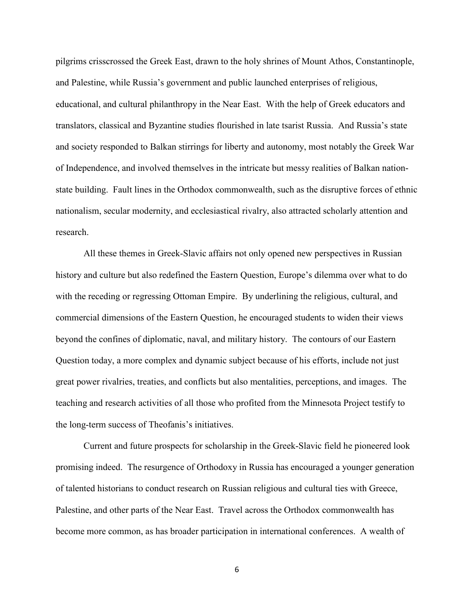pilgrims crisscrossed the Greek East, drawn to the holy shrines of Mount Athos, Constantinople, and Palestine, while Russia's government and public launched enterprises of religious, educational, and cultural philanthropy in the Near East. With the help of Greek educators and translators, classical and Byzantine studies flourished in late tsarist Russia. And Russia's state and society responded to Balkan stirrings for liberty and autonomy, most notably the Greek War of Independence, and involved themselves in the intricate but messy realities of Balkan nationstate building. Fault lines in the Orthodox commonwealth, such as the disruptive forces of ethnic nationalism, secular modernity, and ecclesiastical rivalry, also attracted scholarly attention and research.

All these themes in Greek-Slavic affairs not only opened new perspectives in Russian history and culture but also redefined the Eastern Question, Europe's dilemma over what to do with the receding or regressing Ottoman Empire. By underlining the religious, cultural, and commercial dimensions of the Eastern Question, he encouraged students to widen their views beyond the confines of diplomatic, naval, and military history. The contours of our Eastern Question today, a more complex and dynamic subject because of his efforts, include not just great power rivalries, treaties, and conflicts but also mentalities, perceptions, and images. The teaching and research activities of all those who profited from the Minnesota Project testify to the long-term success of Theofanis's initiatives.

Current and future prospects for scholarship in the Greek-Slavic field he pioneered look promising indeed. The resurgence of Orthodoxy in Russia has encouraged a younger generation of talented historians to conduct research on Russian religious and cultural ties with Greece, Palestine, and other parts of the Near East. Travel across the Orthodox commonwealth has become more common, as has broader participation in international conferences. A wealth of